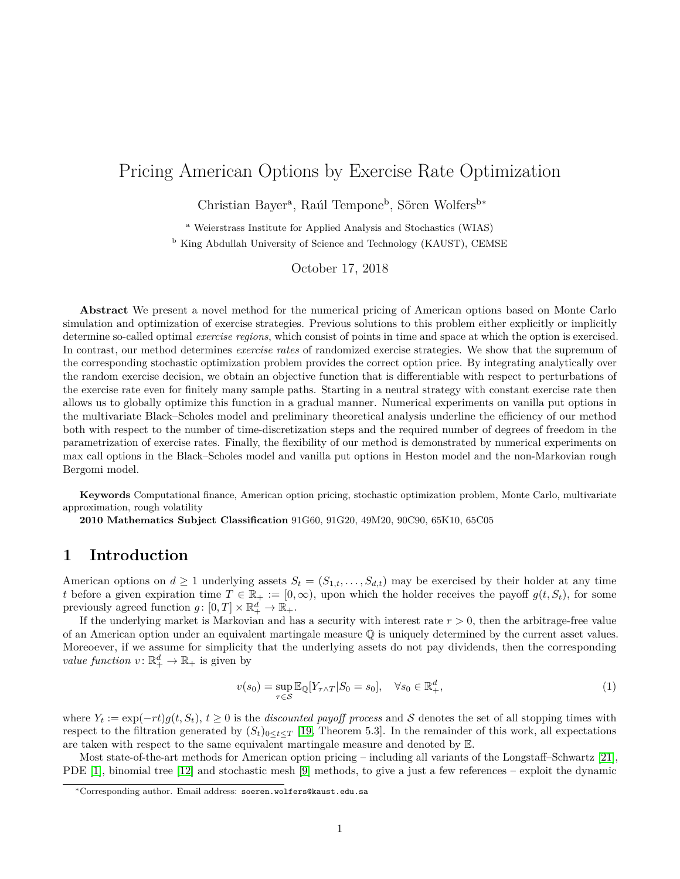# Pricing American Options by Exercise Rate Optimization

Christian Bayer<sup>a</sup>, Raúl Tempone<sup>b</sup>, Sören Wolfers<sup>b\*</sup>

<sup>a</sup> Weierstrass Institute for Applied Analysis and Stochastics (WIAS) <sup>b</sup> King Abdullah University of Science and Technology (KAUST), CEMSE

October 17, 2018

**Abstract** We present a novel method for the numerical pricing of American options based on Monte Carlo simulation and optimization of exercise strategies. Previous solutions to this problem either explicitly or implicitly determine so-called optimal *exercise regions*, which consist of points in time and space at which the option is exercised. In contrast, our method determines *exercise rates* of randomized exercise strategies. We show that the supremum of the corresponding stochastic optimization problem provides the correct option price. By integrating analytically over the random exercise decision, we obtain an objective function that is differentiable with respect to perturbations of the exercise rate even for finitely many sample paths. Starting in a neutral strategy with constant exercise rate then allows us to globally optimize this function in a gradual manner. Numerical experiments on vanilla put options in the multivariate Black–Scholes model and preliminary theoretical analysis underline the efficiency of our method both with respect to the number of time-discretization steps and the required number of degrees of freedom in the parametrization of exercise rates. Finally, the flexibility of our method is demonstrated by numerical experiments on max call options in the Black–Scholes model and vanilla put options in Heston model and the non-Markovian rough Bergomi model.

**Keywords** Computational finance, American option pricing, stochastic optimization problem, Monte Carlo, multivariate approximation, rough volatility

**2010 Mathematics Subject Classification** 91G60, 91G20, 49M20, 90C90, 65K10, 65C05

# **1 Introduction**

American options on  $d \geq 1$  underlying assets  $S_t = (S_{1,t}, \ldots, S_{d,t})$  may be exercised by their holder at any time *t* before a given expiration time  $T \in \mathbb{R}_+ := [0, \infty)$ , upon which the holder receives the payoff  $g(t, S_t)$ , for some previously agreed function  $g: [0, T] \times \mathbb{R}^d_+ \to \mathbb{R}_+$ .

If the underlying market is Markovian and has a security with interest rate *r >* 0, then the arbitrage-free value of an American option under an equivalent martingale measure Q is uniquely determined by the current asset values. Moreoever, if we assume for simplicity that the underlying assets do not pay dividends, then the corresponding *value function*  $v: \mathbb{R}^d_+ \to \mathbb{R}_+$  is given by

<span id="page-0-0"></span>
$$
v(s_0) = \sup_{\tau \in \mathcal{S}} \mathbb{E}_{\mathbb{Q}}[Y_{\tau \wedge T} | S_0 = s_0], \quad \forall s_0 \in \mathbb{R}_+^d,
$$
\n
$$
(1)
$$

where  $Y_t := \exp(-rt)g(t, S_t)$ ,  $t \geq 0$  is the *discounted payoff process* and S denotes the set of all stopping times with respect to the filtration generated by  $(S_t)_{0 \le t \le T}$  [\[19,](#page-14-0) Theorem 5.3]. In the remainder of this work, all expectations are taken with respect to the same equivalent martingale measure and denoted by E.

Most state-of-the-art methods for American option pricing – including all variants of the Longstaff–Schwartz [\[21\]](#page-14-1), PDE [\[1\]](#page-13-0), binomial tree [\[12\]](#page-14-2) and stochastic mesh [\[9\]](#page-14-3) methods, to give a just a few references – exploit the dynamic

<sup>∗</sup>Corresponding author. Email address: soeren.wolfers@kaust.edu.sa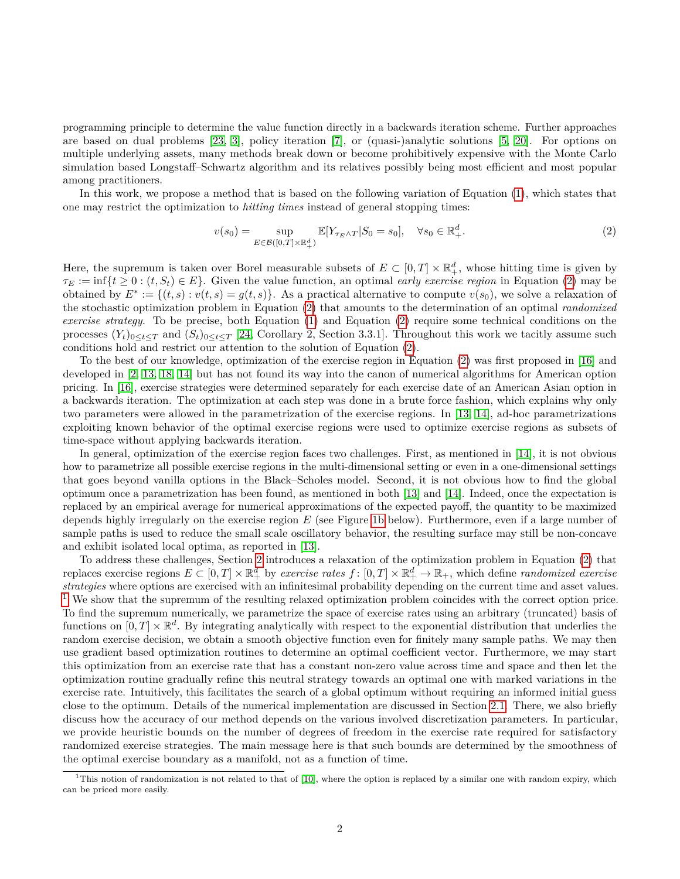programming principle to determine the value function directly in a backwards iteration scheme. Further approaches are based on dual problems [\[23,](#page-14-4) [3\]](#page-13-1), policy iteration [\[7\]](#page-13-2), or (quasi-)analytic solutions [\[5,](#page-13-3) [20\]](#page-14-5). For options on multiple underlying assets, many methods break down or become prohibitively expensive with the Monte Carlo simulation based Longstaff–Schwartz algorithm and its relatives possibly being most efficient and most popular among practitioners.

In this work, we propose a method that is based on the following variation of Equation [\(1\)](#page-0-0), which states that one may restrict the optimization to *hitting times* instead of general stopping times:

<span id="page-1-0"></span>
$$
v(s_0) = \sup_{E \in \mathcal{B}([0,T] \times \mathbb{R}_+^d)} \mathbb{E}[Y_{\tau_E \wedge T} | S_0 = s_0], \quad \forall s_0 \in \mathbb{R}_+^d.
$$
 (2)

Here, the supremum is taken over Borel measurable subsets of  $E \subset [0,T] \times \mathbb{R}^d_+$ , whose hitting time is given by  $\tau_E := \inf\{t \geq 0 : (t, S_t) \in E\}$ . Given the value function, an optimal *early exercise region* in Equation [\(2\)](#page-1-0) may be obtained by  $E^* := \{(t, s) : v(t, s) = g(t, s)\}\.$  As a practical alternative to compute  $v(s_0)$ , we solve a relaxation of the stochastic optimization problem in Equation [\(2\)](#page-1-0) that amounts to the determination of an optimal *randomized exercise strategy*. To be precise, both Equation [\(1\)](#page-0-0) and Equation [\(2\)](#page-1-0) require some technical conditions on the processes  $(Y_t)_{0 \leq t \leq T}$  and  $(S_t)_{0 \leq t \leq T}$  [\[24,](#page-14-6) Corollary 2, Section 3.3.1]. Throughout this work we tacitly assume such conditions hold and restrict our attention to the solution of Equation [\(2\)](#page-1-0).

To the best of our knowledge, optimization of the exercise region in Equation [\(2\)](#page-1-0) was first proposed in [\[16\]](#page-14-7) and developed in [\[2,](#page-13-4) [13,](#page-14-8) [18,](#page-14-9) [14\]](#page-14-10) but has not found its way into the canon of numerical algorithms for American option pricing. In [\[16\]](#page-14-7), exercise strategies were determined separately for each exercise date of an American Asian option in a backwards iteration. The optimization at each step was done in a brute force fashion, which explains why only two parameters were allowed in the parametrization of the exercise regions. In [\[13,](#page-14-8) [14\]](#page-14-10), ad-hoc parametrizations exploiting known behavior of the optimal exercise regions were used to optimize exercise regions as subsets of time-space without applying backwards iteration.

In general, optimization of the exercise region faces two challenges. First, as mentioned in [\[14\]](#page-14-10), it is not obvious how to parametrize all possible exercise regions in the multi-dimensional setting or even in a one-dimensional settings that goes beyond vanilla options in the Black–Scholes model. Second, it is not obvious how to find the global optimum once a parametrization has been found, as mentioned in both [\[13\]](#page-14-8) and [\[14\]](#page-14-10). Indeed, once the expectation is replaced by an empirical average for numerical approximations of the expected payoff, the quantity to be maximized depends highly irregularly on the exercise region *E* (see Figure [1b](#page-4-0) below). Furthermore, even if a large number of sample paths is used to reduce the small scale oscillatory behavior, the resulting surface may still be non-concave and exhibit isolated local optima, as reported in [\[13\]](#page-14-8).

To address these challenges, Section [2](#page-2-0) introduces a relaxation of the optimization problem in Equation [\(2\)](#page-1-0) that replaces exercise regions  $E \subset [0,T] \times \mathbb{R}^d_+$  by *exercise rates*  $f: [0,T] \times \mathbb{R}^d_+ \to \mathbb{R}_+$ , which define *randomized exercise strategies* where options are exercised with an infinitesimal probability depending on the current time and asset values. <sup>[1](#page-1-1)</sup> We show that the supremum of the resulting relaxed optimization problem coincides with the correct option price. To find the supremum numerically, we parametrize the space of exercise rates using an arbitrary (truncated) basis of functions on  $[0,T] \times \mathbb{R}^d$ . By integrating analytically with respect to the exponential distribution that underlies the random exercise decision, we obtain a smooth objective function even for finitely many sample paths. We may then use gradient based optimization routines to determine an optimal coefficient vector. Furthermore, we may start this optimization from an exercise rate that has a constant non-zero value across time and space and then let the optimization routine gradually refine this neutral strategy towards an optimal one with marked variations in the exercise rate. Intuitively, this facilitates the search of a global optimum without requiring an informed initial guess close to the optimum. Details of the numerical implementation are discussed in Section [2.1.](#page-3-0) There, we also briefly discuss how the accuracy of our method depends on the various involved discretization parameters. In particular, we provide heuristic bounds on the number of degrees of freedom in the exercise rate required for satisfactory randomized exercise strategies. The main message here is that such bounds are determined by the smoothness of the optimal exercise boundary as a manifold, not as a function of time.

<span id="page-1-1"></span><sup>&</sup>lt;sup>1</sup>This notion of randomization is not related to that of [\[10\]](#page-14-11), where the option is replaced by a similar one with random expiry, which can be priced more easily.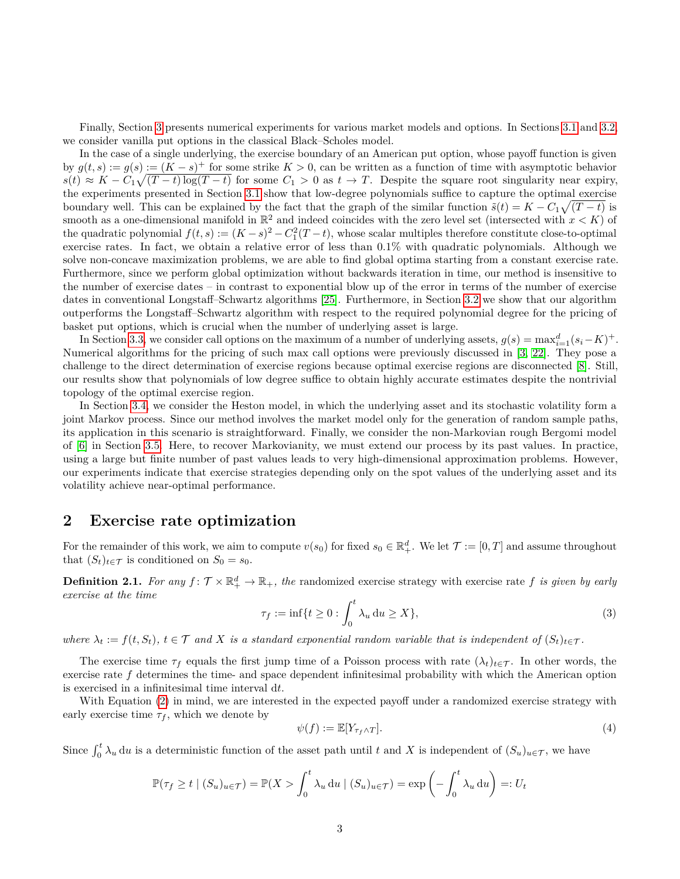Finally, Section [3](#page-5-0) presents numerical experiments for various market models and options. In Sections [3.1](#page-6-0) and [3.2,](#page-6-1) we consider vanilla put options in the classical Black–Scholes model.

In the case of a single underlying, the exercise boundary of an American put option, whose payoff function is given by  $g(t, s) := g(s) := (K - s)^{+}$  for some strike  $K > 0$ , can be written as a function of time with asymptotic behavior  $s(t) \approx K - C_1 \sqrt{(T-t) \log(T-t)}$  for some  $C_1 > 0$  as  $t \to T$ . Despite the square root singularity near expiry, the experiments presented in Section [3.1](#page-6-0) show that low-degree polynomials suffice to capture the optimal exercise boundary well. This can be explained by the fact that the graph of the similar function  $\tilde{s}(t) = K - C_1 \sqrt{(T-t)}$  is smooth as a one-dimensional manifold in  $\mathbb{R}^2$  and indeed coincides with the zero level set (intersected with  $x < K$ ) of the quadratic polynomial  $f(t, s) := (K - s)^2 - C_1^2(T - t)$ , whose scalar multiples therefore constitute close-to-optimal exercise rates. In fact, we obtain a relative error of less than 0*.*1% with quadratic polynomials. Although we solve non-concave maximization problems, we are able to find global optima starting from a constant exercise rate. Furthermore, since we perform global optimization without backwards iteration in time, our method is insensitive to the number of exercise dates – in contrast to exponential blow up of the error in terms of the number of exercise dates in conventional Longstaff–Schwartz algorithms [\[25\]](#page-14-12). Furthermore, in Section [3.2](#page-6-1) we show that our algorithm outperforms the Longstaff–Schwartz algorithm with respect to the required polynomial degree for the pricing of basket put options, which is crucial when the number of underlying asset is large.

In Section [3.3,](#page-8-0) we consider call options on the maximum of a number of underlying assets,  $g(s) = \max_{i=1}^{d} (s_i - K)^+$ . Numerical algorithms for the pricing of such max call options were previously discussed in [\[3,](#page-13-1) [22\]](#page-14-13). They pose a challenge to the direct determination of exercise regions because optimal exercise regions are disconnected [\[8\]](#page-14-14). Still, our results show that polynomials of low degree suffice to obtain highly accurate estimates despite the nontrivial topology of the optimal exercise region.

In Section [3.4,](#page-9-0) we consider the Heston model, in which the underlying asset and its stochastic volatility form a joint Markov process. Since our method involves the market model only for the generation of random sample paths, its application in this scenario is straightforward. Finally, we consider the non-Markovian rough Bergomi model of [\[6\]](#page-13-5) in Section [3.5.](#page-11-0) Here, to recover Markovianity, we must extend our process by its past values. In practice, using a large but finite number of past values leads to very high-dimensional approximation problems. However, our experiments indicate that exercise strategies depending only on the spot values of the underlying asset and its volatility achieve near-optimal performance.

### <span id="page-2-0"></span>**2 Exercise rate optimization**

For the remainder of this work, we aim to compute  $v(s_0)$  for fixed  $s_0 \in \mathbb{R}^d_+$ . We let  $\mathcal{T} := [0, T]$  and assume throughout that  $(S_t)_{t \in \mathcal{T}}$  is conditioned on  $S_0 = s_0$ .

**Definition 2.1.** For any  $f: \mathcal{T} \times \mathbb{R}^d_+ \to \mathbb{R}_+$ , the randomized exercise strategy with exercise rate f is given by early *exercise at the time*

<span id="page-2-1"></span>
$$
\tau_f := \inf\{t \ge 0 : \int_0^t \lambda_u \, \mathrm{d}u \ge X\},\tag{3}
$$

*where*  $\lambda_t := f(t, S_t)$ ,  $t \in \mathcal{T}$  and X is a standard exponential random variable that is independent of  $(S_t)_{t \in \mathcal{T}}$ .

The exercise time  $\tau_f$  equals the first jump time of a Poisson process with rate  $(\lambda_t)_{t \in \mathcal{T}}$ . In other words, the exercise rate *f* determines the time- and space dependent infinitesimal probability with which the American option is exercised in a infinitesimal time interval d*t*.

With Equation [\(2\)](#page-1-0) in mind, we are interested in the expected payoff under a randomized exercise strategy with early exercise time  $\tau_f$ , which we denote by

$$
\psi(f) := \mathbb{E}[Y_{\tau_f \wedge T}].\tag{4}
$$

Since  $\int_0^t \lambda_u \, du$  is a deterministic function of the asset path until *t* and *X* is independent of  $(S_u)_{u \in \mathcal{T}}$ , we have

$$
\mathbb{P}(\tau_f \ge t \mid (S_u)_{u \in \mathcal{T}}) = \mathbb{P}(X > \int_0^t \lambda_u \, du \mid (S_u)_{u \in \mathcal{T}}) = \exp\left(-\int_0^t \lambda_u \, du\right) =: U_t
$$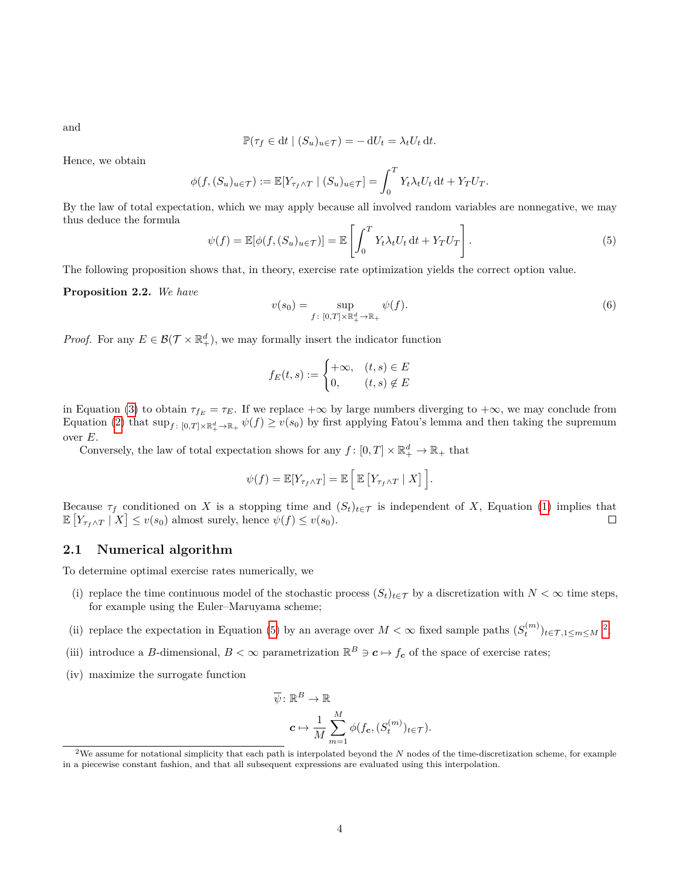and

$$
\mathbb{P}(\tau_f \in dt \mid (S_u)_{u \in \mathcal{T}}) = -dU_t = \lambda_t U_t dt.
$$

Hence, we obtain

$$
\phi(f,(S_u)_{u \in \mathcal{T}}) := \mathbb{E}[Y_{\tau_f \wedge T} \mid (S_u)_{u \in \mathcal{T}}] = \int_0^T Y_t \lambda_t U_t dt + Y_T U_T.
$$

By the law of total expectation, which we may apply because all involved random variables are nonnegative, we may thus deduce the formula

<span id="page-3-1"></span>
$$
\psi(f) = \mathbb{E}[\phi(f, (S_u)_{u \in \mathcal{T}})] = \mathbb{E}\left[\int_0^T Y_t \lambda_t U_t dt + Y_T U_T\right].
$$
\n(5)

<span id="page-3-3"></span>The following proposition shows that, in theory, exercise rate optimization yields the correct option value.

**Proposition 2.2.** *We have*

$$
v(s_0) = \sup_{f \colon [0,T] \times \mathbb{R}_+^d \to \mathbb{R}_+} \psi(f). \tag{6}
$$

*Proof.* For any  $E \in \mathcal{B}(\mathcal{T} \times \mathbb{R}^d_+)$ , we may formally insert the indicator function

$$
f_E(t,s) := \begin{cases} +\infty, & (t,s) \in E \\ 0, & (t,s) \notin E \end{cases}
$$

in Equation [\(3\)](#page-2-1) to obtain  $\tau_{f_E} = \tau_E$ . If we replace  $+\infty$  by large numbers diverging to  $+\infty$ , we may conclude from Equation [\(2\)](#page-1-0) that  $\sup_{f:[0,T]\times\mathbb{R}^d_+\to\mathbb{R}_+}\psi(f)\geq v(s_0)$  by first applying Fatou's lemma and then taking the supremum over *E*.

Conversely, the law of total expectation shows for any  $f: [0, T] \times \mathbb{R}^d_+ \to \mathbb{R}_+$  that

$$
\psi(f) = \mathbb{E}[Y_{\tau_f \wedge T}] = \mathbb{E}\left[\mathbb{E}\left[Y_{\tau_f \wedge T} \mid X\right]\right].
$$

Because  $\tau_f$  conditioned on *X* is a stopping time and  $(S_t)_{t \in \mathcal{T}}$  is independent of *X*, Equation [\(1\)](#page-0-0) implies that  $\mathbb{E}\left[Y_{\tau_f \wedge T} \mid X\right] \leq v(s_0)$  almost surely, hence  $\psi(f) \leq v(s_0)$ .  $\Box$ 

#### <span id="page-3-0"></span>**2.1 Numerical algorithm**

To determine optimal exercise rates numerically, we

- (i) replace the time continuous model of the stochastic process  $(S_t)_{t\in\mathcal{T}}$  by a discretization with  $N<\infty$  time steps, for example using the Euler–Maruyama scheme;
- (ii) replace the expectation in Equation [\(5\)](#page-3-1) by an average over  $M < \infty$  fixed sample paths  $(S_t^{(m)})_{t \in \mathcal{T}, 1 \le m \le M}$ <sup>[2](#page-3-2)</sup>;
- (iii) introduce a *B*-dimensional,  $B < \infty$  parametrization  $\mathbb{R}^B \ni c \mapsto f_c$  of the space of exercise rates;
- (iv) maximize the surrogate function

$$
\overline{\psi} \colon \mathbb{R}^B \to \mathbb{R}
$$
\n
$$
\mathbf{c} \mapsto \frac{1}{M} \sum_{m=1}^M \phi(f_{\mathbf{c}}, (S_t^{(m)})_{t \in \mathcal{T}}).
$$

<span id="page-3-2"></span><sup>2</sup>We assume for notational simplicity that each path is interpolated beyond the *N* nodes of the time-discretization scheme, for example in a piecewise constant fashion, and that all subsequent expressions are evaluated using this interpolation.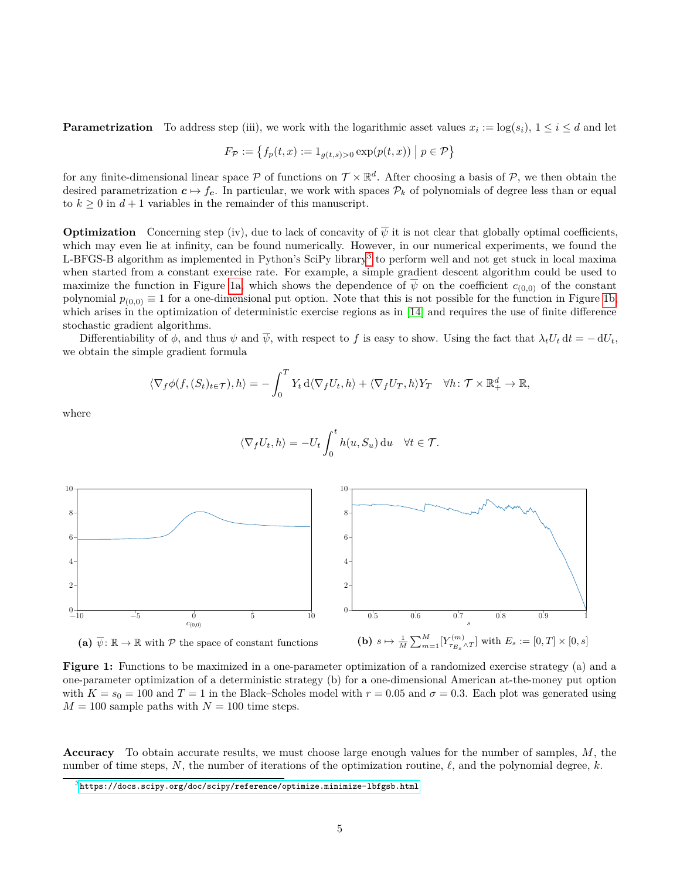**Parametrization** To address step (iii), we work with the logarithmic asset values  $x_i := \log(s_i)$ ,  $1 \leq i \leq d$  and let

$$
F_{\mathcal{P}} := \{ f_p(t, x) := 1_{g(t, s) > 0} \exp(p(t, x)) \mid p \in \mathcal{P} \}
$$

for any finite-dimensional linear space  $P$  of functions on  $T \times \mathbb{R}^d$ . After choosing a basis of  $P$ , we then obtain the desired parametrization  $c \mapsto f_c$ . In particular, we work with spaces  $\mathcal{P}_k$  of polynomials of degree less than or equal to  $k \geq 0$  in  $d+1$  variables in the remainder of this manuscript.

**Optimization** Concerning step (iv), due to lack of concavity of  $\overline{\psi}$  it is not clear that globally optimal coefficients, which may even lie at infinity, can be found numerically. However, in our numerical experiments, we found the L-BFGS-B algorithm as implemented in Python's SciPy library<sup>[3](#page-4-1)</sup> to perform well and not get stuck in local maxima when started from a constant exercise rate. For example, a simple gradient descent algorithm could be used to maximize the function in Figure [1a,](#page-4-0) which shows the dependence of  $\overline{\psi}$  on the coefficient  $c_{(0,0)}$  of the constant polynomial  $p_{(0,0)} \equiv 1$  for a one-dimensional put option. Note that this is not possible for the function in Figure [1b,](#page-4-0) which arises in the optimization of deterministic exercise regions as in [\[14\]](#page-14-10) and requires the use of finite difference stochastic gradient algorithms.

Differentiability of  $\phi$ , and thus  $\psi$  and  $\overline{\psi}$ , with respect to f is easy to show. Using the fact that  $\lambda_t U_t dt = -dU_t$ , we obtain the simple gradient formula

$$
\langle \nabla_f \phi(f, (S_t)_{t \in \mathcal{T}}), h \rangle = -\int_0^T Y_t \, d \langle \nabla_f U_t, h \rangle + \langle \nabla_f U_T, h \rangle Y_T \quad \forall h \colon \mathcal{T} \times \mathbb{R}^d_+ \to \mathbb{R},
$$

where

$$
\langle \nabla_f U_t, h \rangle = -U_t \int_0^t h(u, S_u) \, \mathrm{d}u \quad \forall t \in \mathcal{T}.
$$

<span id="page-4-0"></span>

**Figure 1:** Functions to be maximized in a one-parameter optimization of a randomized exercise strategy (a) and a one-parameter optimization of a deterministic strategy (b) for a one-dimensional American at-the-money put option with  $K = s_0 = 100$  and  $T = 1$  in the Black–Scholes model with  $r = 0.05$  and  $\sigma = 0.3$ . Each plot was generated using  $M = 100$  sample paths with  $N = 100$  time steps.

**Accuracy** To obtain accurate results, we must choose large enough values for the number of samples, *M*, the number of time steps, N, the number of iterations of the optimization routine,  $\ell$ , and the polynomial degree,  $k$ .

<span id="page-4-1"></span> $3$ <https://docs.scipy.org/doc/scipy/reference/optimize.minimize-lbfgsb.html>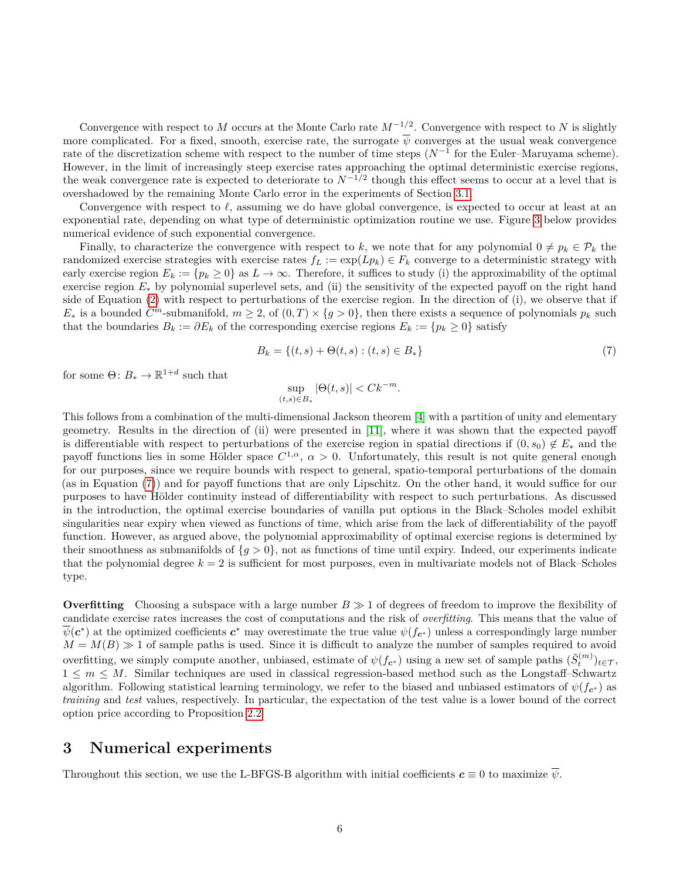Convergence with respect to *M* occurs at the Monte Carlo rate  $M^{-1/2}$ . Convergence with respect to *N* is slightly more complicated. For a fixed, smooth, exercise rate, the surrogate  $\overline{\psi}$  converges at the usual weak convergence rate of the discretization scheme with respect to the number of time steps ( $N^{-1}$  for the Euler–Maruyama scheme). However, in the limit of increasingly steep exercise rates approaching the optimal deterministic exercise regions, the weak convergence rate is expected to deteriorate to  $N^{-1/2}$  though this effect seems to occur at a level that is overshadowed by the remaining Monte Carlo error in the experiments of Section [3.1.](#page-6-0)

Convergence with respect to  $\ell$ , assuming we do have global convergence, is expected to occur at least at an exponential rate, depending on what type of deterministic optimization routine we use. Figure [3](#page-8-1) below provides numerical evidence of such exponential convergence.

Finally, to characterize the convergence with respect to k, we note that for any polynomial  $0 \neq p_k \in \mathcal{P}_k$  the randomized exercise strategies with exercise rates  $f_L := \exp(Lp_k) \in F_k$  converge to a deterministic strategy with early exercise region  $E_k := \{p_k \geq 0\}$  as  $L \to \infty$ . Therefore, it suffices to study (i) the approximability of the optimal exercise region *E*<sup>∗</sup> by polynomial superlevel sets, and (ii) the sensitivity of the expected payoff on the right hand side of Equation [\(2\)](#page-1-0) with respect to perturbations of the exercise region. In the direction of (i), we observe that if  $E_*$  is a bounded  $C^m$ -submanifold,  $m \geq 2$ , of  $(0,T) \times \{g > 0\}$ , then there exists a sequence of polynomials  $p_k$  such that the boundaries  $B_k := \partial E_k$  of the corresponding exercise regions  $E_k := \{p_k \geq 0\}$  satisfy

<span id="page-5-1"></span>
$$
B_k = \{(t, s) + \Theta(t, s) : (t, s) \in B_*\}
$$
\n(7)

for some  $\Theta: B_* \to \mathbb{R}^{1+d}$  such that

$$
\sup_{(t,s)\in B_*}|\Theta(t,s)| < Ck^{-m}.
$$

This follows from a combination of the multi-dimensional Jackson theorem [\[4\]](#page-13-6) with a partition of unity and elementary geometry. Results in the direction of (ii) were presented in [\[11\]](#page-14-15), where it was shown that the expected payoff is differentiable with respect to perturbations of the exercise region in spatial directions if  $(0, s_0) \notin E_*$  and the payoff functions lies in some Hölder space  $C^{1,\alpha}$ ,  $\alpha > 0$ . Unfortunately, this result is not quite general enough for our purposes, since we require bounds with respect to general, spatio-temporal perturbations of the domain (as in Equation [\(7\)](#page-5-1)) and for payoff functions that are only Lipschitz. On the other hand, it would suffice for our purposes to have Hölder continuity instead of differentiability with respect to such perturbations. As discussed in the introduction, the optimal exercise boundaries of vanilla put options in the Black–Scholes model exhibit singularities near expiry when viewed as functions of time, which arise from the lack of differentiability of the payoff function. However, as argued above, the polynomial approximability of optimal exercise regions is determined by their smoothness as submanifolds of  ${g > 0}$ , not as functions of time until expiry. Indeed, our experiments indicate that the polynomial degree  $k = 2$  is sufficient for most purposes, even in multivariate models not of Black–Scholes type.

**Overfitting** Choosing a subspace with a large number  $B \gg 1$  of degrees of freedom to improve the flexibility of candidate exercise rates increases the cost of computations and the risk of *overfitting*. This means that the value of  $\overline{\psi}(c^*)$  at the optimized coefficients  $c^*$  may overestimate the true value  $\psi(f_{c^*})$  unless a correspondingly large number  $M = M(B) \gg 1$  of sample paths is used. Since it is difficult to analyze the number of samples required to avoid overfitting, we simply compute another, unbiased, estimate of  $\psi(f_{\boldsymbol{c}^*})$  using a new set of sample paths  $(\tilde{S}_t^{(m)})_{t \in \mathcal{T}}$ ,  $1 \leq m \leq M$ . Similar techniques are used in classical regression-based method such as the Longstaff-Schwartz algorithm. Following statistical learning terminology, we refer to the biased and unbiased estimators of  $\psi(f_{\sigma^*})$  as *training* and *test* values, respectively. In particular, the expectation of the test value is a lower bound of the correct option price according to Proposition [2.2.](#page-3-3)

# <span id="page-5-0"></span>**3 Numerical experiments**

Throughout this section, we use the L-BFGS-B algorithm with initial coefficients  $c \equiv 0$  to maximize  $\overline{\psi}$ .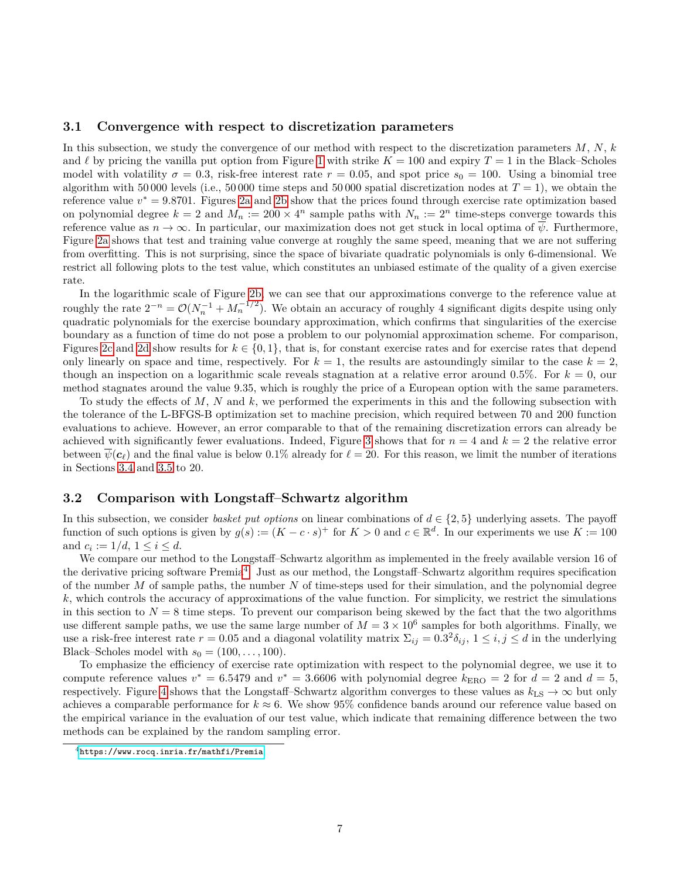#### <span id="page-6-0"></span>**3.1 Convergence with respect to discretization parameters**

In this subsection, we study the convergence of our method with respect to the discretization parameters *M*, *N*, *k* and  $\ell$  by pricing the vanilla put option from Figure [1](#page-4-0) with strike  $K = 100$  and expiry  $T = 1$  in the Black–Scholes model with volatility  $\sigma = 0.3$ , risk-free interest rate  $r = 0.05$ , and spot price  $s_0 = 100$ . Using a binomial tree algorithm with 50 000 levels (i.e., 50 000 time steps and 50 000 spatial discretization nodes at  $T = 1$ ), we obtain the reference value  $v^* = 9.8701$ . Figures [2a](#page-7-0) and [2b](#page-7-0) show that the prices found through exercise rate optimization based on polynomial degree  $k = 2$  and  $M_n := 200 \times 4^n$  sample paths with  $N_n := 2^n$  time-steps converge towards this reference value as  $n \to \infty$ . In particular, our maximization does not get stuck in local optima of  $\overline{\psi}$ . Furthermore, Figure [2a](#page-7-0) shows that test and training value converge at roughly the same speed, meaning that we are not suffering from overfitting. This is not surprising, since the space of bivariate quadratic polynomials is only 6-dimensional. We restrict all following plots to the test value, which constitutes an unbiased estimate of the quality of a given exercise rate.

In the logarithmic scale of Figure [2b,](#page-7-0) we can see that our approximations converge to the reference value at roughly the rate  $2^{-n} = \mathcal{O}(N_n^{-1} + M_n^{-1/2})$ . We obtain an accuracy of roughly 4 significant digits despite using only quadratic polynomials for the exercise boundary approximation, which confirms that singularities of the exercise boundary as a function of time do not pose a problem to our polynomial approximation scheme. For comparison, Figures [2c](#page-7-0) and [2d](#page-7-0) show results for  $k \in \{0, 1\}$ , that is, for constant exercise rates and for exercise rates that depend only linearly on space and time, respectively. For  $k = 1$ , the results are astoundingly similar to the case  $k = 2$ , though an inspection on a logarithmic scale reveals stagnation at a relative error around 0*.*5%. For *k* = 0, our method stagnates around the value 9*.*35, which is roughly the price of a European option with the same parameters.

To study the effects of *M*, *N* and *k*, we performed the experiments in this and the following subsection with the tolerance of the L-BFGS-B optimization set to machine precision, which required between 70 and 200 function evaluations to achieve. However, an error comparable to that of the remaining discretization errors can already be achieved with significantly fewer evaluations. Indeed, Figure [3](#page-8-1) shows that for  $n = 4$  and  $k = 2$  the relative error between  $\psi(\mathbf{c}_{\ell})$  and the final value is below 0.1% already for  $\ell = 20$ . For this reason, we limit the number of iterations in Sections [3.4](#page-9-0) and [3.5](#page-11-0) to 20.

#### <span id="page-6-1"></span>**3.2 Comparison with Longstaff–Schwartz algorithm**

In this subsection, we consider *basket put options* on linear combinations of  $d \in \{2, 5\}$  underlying assets. The payoff function of such options is given by  $g(s) := (K - c \cdot s)^+$  for  $K > 0$  and  $c \in \mathbb{R}^d$ . In our experiments we use  $K := 100$ and  $c_i := 1/d, 1 \le i \le d$ .

We compare our method to the Longstaff–Schwartz algorithm as implemented in the freely available version 16 of the derivative pricing software Premia<sup>[4](#page-6-2)</sup>. Just as our method, the Longstaff-Schwartz algorithm requires specification of the number *M* of sample paths, the number *N* of time-steps used for their simulation, and the polynomial degree *k*, which controls the accuracy of approximations of the value function. For simplicity, we restrict the simulations in this section to  $N = 8$  time steps. To prevent our comparison being skewed by the fact that the two algorithms use different sample paths, we use the same large number of  $M = 3 \times 10^6$  samples for both algorithms. Finally, we use a risk-free interest rate  $r = 0.05$  and a diagonal volatility matrix  $\Sigma_{ij} = 0.3^2 \delta_{ij}$ ,  $1 \le i, j \le d$  in the underlying Black–Scholes model with  $s_0 = (100, \ldots, 100)$ .

To emphasize the efficiency of exercise rate optimization with respect to the polynomial degree, we use it to compute reference values  $v^* = 6.5479$  and  $v^* = 3.6606$  with polynomial degree  $k_{\text{ERO}} = 2$  for  $d = 2$  and  $d = 5$ , respectively. Figure [4](#page-8-2) shows that the Longstaff–Schwartz algorithm converges to these values as  $k_{\text{LS}} \to \infty$  but only achieves a comparable performance for  $k \approx 6$ . We show 95% confidence bands around our reference value based on the empirical variance in the evaluation of our test value, which indicate that remaining difference between the two methods can be explained by the random sampling error.

<span id="page-6-2"></span><sup>4</sup><https://www.rocq.inria.fr/mathfi/Premia>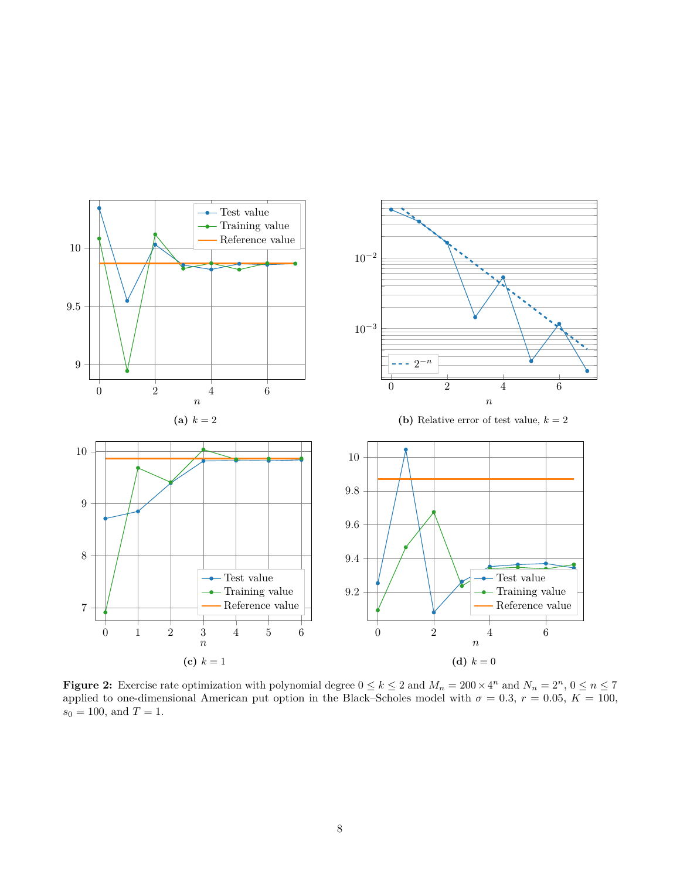<span id="page-7-0"></span>

**Figure 2:** Exercise rate optimization with polynomial degree  $0 \le k \le 2$  and  $M_n = 200 \times 4^n$  and  $N_n = 2^n$ ,  $0 \le n \le 7$ applied to one-dimensional American put option in the Black–Scholes model with  $\sigma = 0.3$ ,  $r = 0.05$ ,  $K = 100$ ,  $s_0 = 100$ , and  $T = 1$ .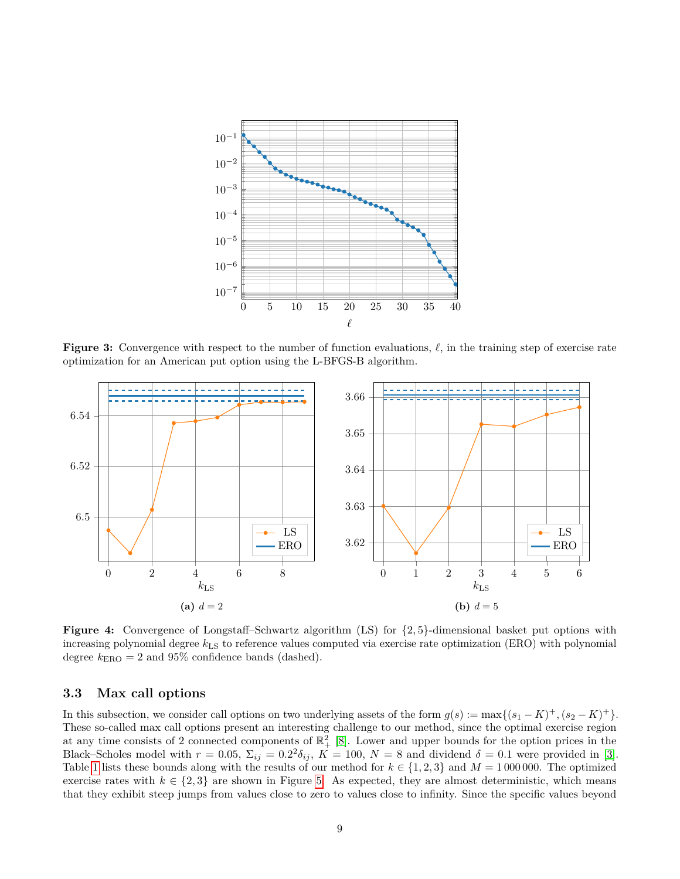<span id="page-8-1"></span>

**Figure 3:** Convergence with respect to the number of function evaluations,  $\ell$ , in the training step of exercise rate optimization for an American put option using the L-BFGS-B algorithm.

<span id="page-8-2"></span>

**Figure 4:** Convergence of Longstaff–Schwartz algorithm (LS) for {2*,* 5}-dimensional basket put options with increasing polynomial degree  $k_{\text{LS}}$  to reference values computed via exercise rate optimization (ERO) with polynomial degree  $k_{\text{ERO}} = 2$  and 95% confidence bands (dashed).

#### <span id="page-8-0"></span>**3.3 Max call options**

In this subsection, we consider call options on two underlying assets of the form  $g(s) := \max\{(s_1 - K)^+, (s_2 - K)^+\}$ . These so-called max call options present an interesting challenge to our method, since the optimal exercise region at any time consists of 2 connected components of  $\mathbb{R}^2_+$  [\[8\]](#page-14-14). Lower and upper bounds for the option prices in the Black–Scholes model with  $r = 0.05$ ,  $\Sigma_{ij} = 0.2^2 \delta_{ij}$ ,  $K = 100$ ,  $N = 8$  and dividend  $\delta = 0.1$  were provided in [\[3\]](#page-13-1). Table [1](#page-9-1) lists these bounds along with the results of our method for  $k \in \{1, 2, 3\}$  and  $M = 1000000$ . The optimized exercise rates with  $k \in \{2,3\}$  are shown in Figure [5.](#page-9-2) As expected, they are almost deterministic, which means that they exhibit steep jumps from values close to zero to values close to infinity. Since the specific values beyond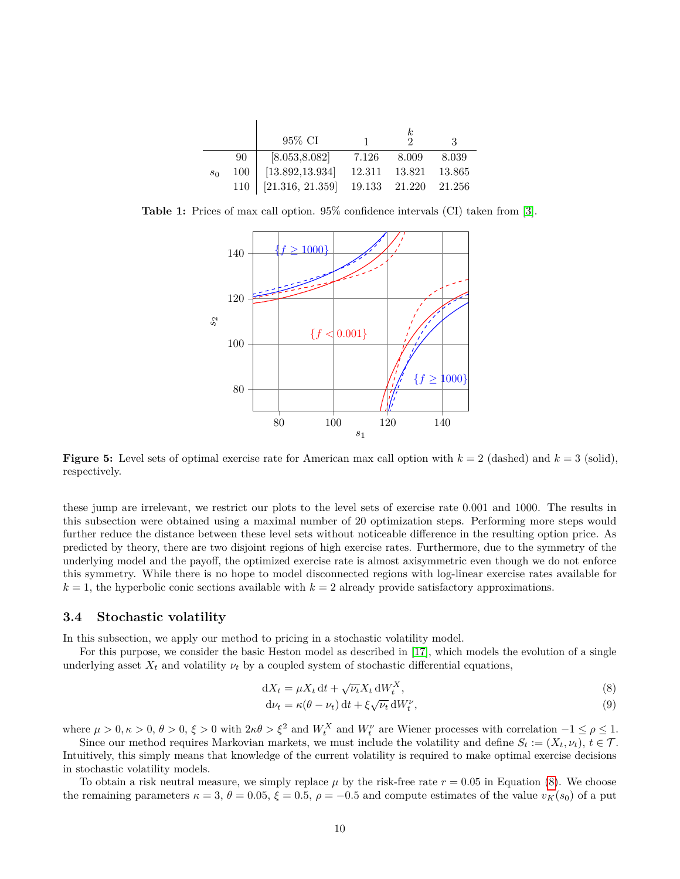|                |     | $95\%$ CI        |        | 9.     | 3      |
|----------------|-----|------------------|--------|--------|--------|
|                | 90  | [8.053, 8.082]   | 7.126  | 8.009  | 8.039  |
| s <sub>0</sub> | 100 | [13.892, 13.934] | 12.311 | 13.821 | 13.865 |
|                | 110 | [21.316, 21.359] | 19.133 | 21.220 | 21.256 |

 $\overline{\phantom{a}}$ 

<span id="page-9-2"></span><span id="page-9-1"></span>**Table 1:** Prices of max call option. 95% confidence intervals (CI) taken from [\[3\]](#page-13-1).



**Figure 5:** Level sets of optimal exercise rate for American max call option with  $k = 2$  (dashed) and  $k = 3$  (solid), respectively.

these jump are irrelevant, we restrict our plots to the level sets of exercise rate 0*.*001 and 1000. The results in this subsection were obtained using a maximal number of 20 optimization steps. Performing more steps would further reduce the distance between these level sets without noticeable difference in the resulting option price. As predicted by theory, there are two disjoint regions of high exercise rates. Furthermore, due to the symmetry of the underlying model and the payoff, the optimized exercise rate is almost axisymmetric even though we do not enforce this symmetry. While there is no hope to model disconnected regions with log-linear exercise rates available for  $k = 1$ , the hyperbolic conic sections available with  $k = 2$  already provide satisfactory approximations.

#### <span id="page-9-0"></span>**3.4 Stochastic volatility**

In this subsection, we apply our method to pricing in a stochastic volatility model.

For this purpose, we consider the basic Heston model as described in [\[17\]](#page-14-16), which models the evolution of a single underlying asset  $X_t$  and volatility  $\nu_t$  by a coupled system of stochastic differential equations,

$$
dX_t = \mu X_t dt + \sqrt{\nu_t} X_t dW_t^X,
$$
\n(8)

<span id="page-9-3"></span>
$$
\mathrm{d}\nu_t = \kappa(\theta - \nu_t) \,\mathrm{d}t + \xi \sqrt{\nu_t} \,\mathrm{d}W_t^{\nu},\tag{9}
$$

where  $\mu > 0, \kappa > 0, \theta > 0, \xi > 0$  with  $2\kappa\theta > \xi^2$  and  $W_t^X$  and  $W_t^{\nu}$  are Wiener processes with correlation  $-1 \leq \rho \leq 1$ .

Since our method requires Markovian markets, we must include the volatility and define  $S_t := (X_t, \nu_t), t \in \mathcal{T}$ . Intuitively, this simply means that knowledge of the current volatility is required to make optimal exercise decisions in stochastic volatility models.

To obtain a risk neutral measure, we simply replace  $\mu$  by the risk-free rate  $r = 0.05$  in Equation [\(8\)](#page-9-3). We choose the remaining parameters  $\kappa = 3$ ,  $\theta = 0.05$ ,  $\xi = 0.5$ ,  $\rho = -0.5$  and compute estimates of the value  $v_K(s_0)$  of a put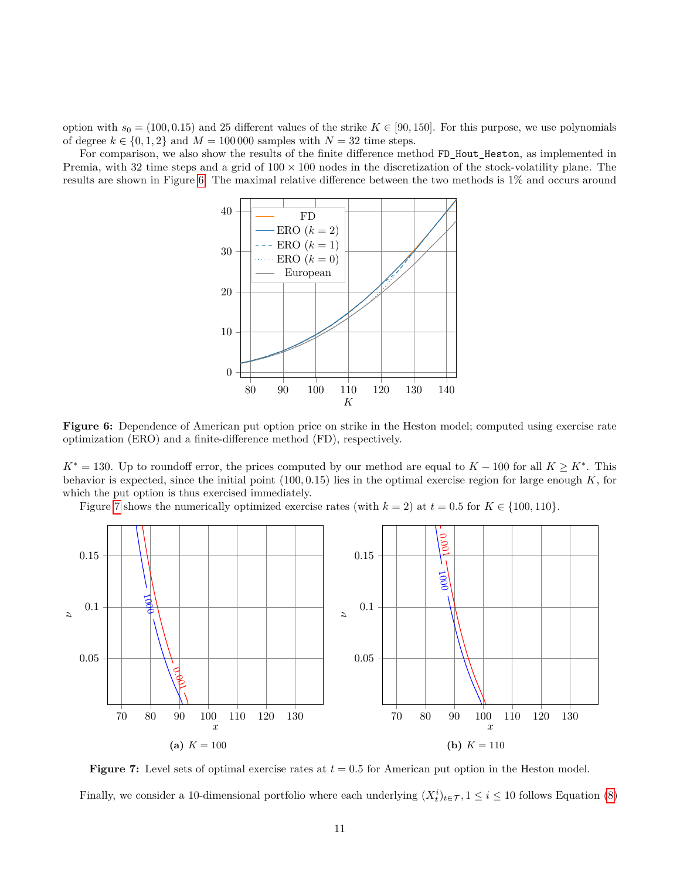option with  $s_0 = (100, 0.15)$  and 25 different values of the strike  $K \in [90, 150]$ . For this purpose, we use polynomials of degree  $k \in \{0, 1, 2\}$  and  $M = 100000$  samples with  $N = 32$  time steps.

<span id="page-10-0"></span>For comparison, we also show the results of the finite difference method FD Hout Heston, as implemented in Premia, with 32 time steps and a grid of  $100 \times 100$  nodes in the discretization of the stock-volatility plane. The results are shown in Figure [6.](#page-10-0) The maximal relative difference between the two methods is 1% and occurs around



**Figure 6:** Dependence of American put option price on strike in the Heston model; computed using exercise rate optimization (ERO) and a finite-difference method (FD), respectively.

 $K^* = 130$ . Up to roundoff error, the prices computed by our method are equal to  $K - 100$  for all  $K \geq K^*$ . This behavior is expected, since the initial point (100*,* 0*.*15) lies in the optimal exercise region for large enough *K*, for which the put option is thus exercised immediately.

Figure [7](#page-10-1) shows the numerically optimized exercise rates (with  $k = 2$ ) at  $t = 0.5$  for  $K \in \{100, 110\}$ .

<span id="page-10-1"></span>

**Figure 7:** Level sets of optimal exercise rates at  $t = 0.5$  for American put option in the Heston model.

Finally, we consider a 10-dimensional portfolio where each underlying  $(X_t^i)_{t \in \mathcal{T}}$ ,  $1 \le i \le 10$  follows Equation [\(8\)](#page-9-3)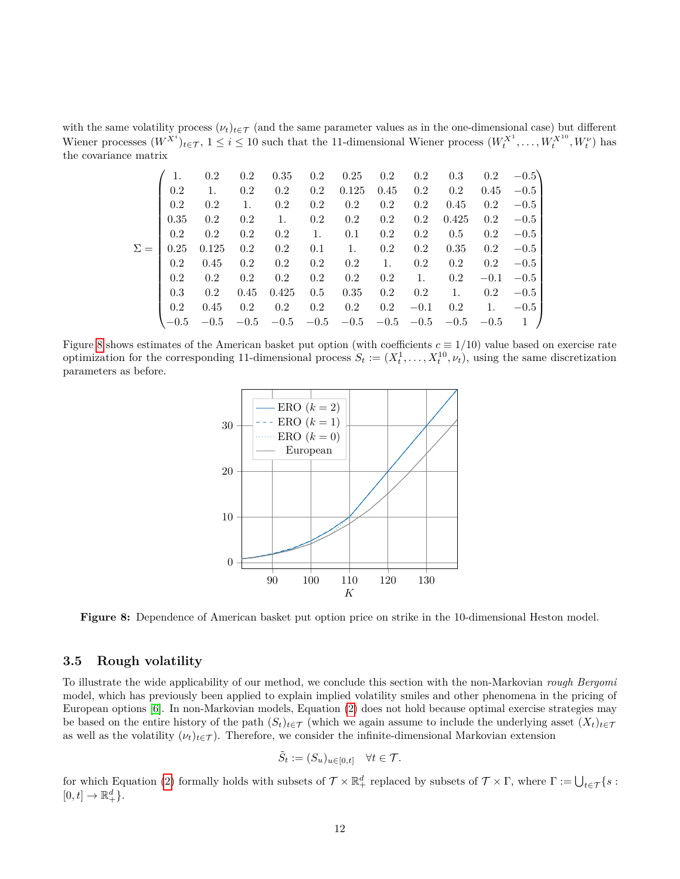with the same volatility process  $(\nu_t)_{t \in \mathcal{T}}$  (and the same parameter values as in the one-dimensional case) but different Wiener processes  $(W^{X^i})_{t \in \mathcal{T}}$ ,  $1 \leq i \leq 10$  such that the 11-dimensional Wiener process  $(W^{X^1}_t, \ldots, W^{X^{10}}_t, W^{V}_t)$  has the covariance matrix

|            |      | 0.2     | $0.2\,$ |                  |                 | $0.35$ $0.2$ $0.25$ $0.2$ $0.2$      |                  |         |         |         | $0.3 \qquad 0.2 \qquad -0.5)$ |
|------------|------|---------|---------|------------------|-----------------|--------------------------------------|------------------|---------|---------|---------|-------------------------------|
|            | 0.2  |         | $0.2\,$ | $0.2\,$          | $0.2\,$         | 0.125                                | $0.45$ 0.2       |         | 0.2     | 0.45    | $-0.5$                        |
|            | 0.2  | 0.2     | 1.      | $0.2\,$          | $0.2\,$         | $0.2\,$                              | $0.2\,$          | $0.2\,$ | 0.45    | $0.2\,$ | $-0.5$                        |
|            | 0.35 | $0.2\,$ | $0.2\,$ | $\overline{1}$ . | 0.2             | 0.2                                  | $0.2\,$          | $0.2\,$ | 0.425   | 0.2     | $-0.5$                        |
|            | 0.2  | $0.2\,$ | 0.2     |                  | $0.2 \qquad 1.$ |                                      | $0.1 \qquad 0.2$ | $0.2\,$ | $0.5\,$ | $0.2\,$ | $-0.5$                        |
| $\Sigma =$ | 0.25 | 0.125   | $0.2\,$ |                  |                 | $0.2$ $0.1$ 1. $0.2$                 |                  | $0.2\,$ | 0.35    | 0.2     | $-0.5$                        |
|            | 0.2  | 0.45    | $0.2\,$ |                  |                 | $0.2 \t 0.2 \t 0.2 \t 1.$            |                  | $0.2\,$ | $0.2\,$ | $0.2\,$ | $-0.5$                        |
|            | 0.2  | $0.2\,$ | $0.2\,$ | $0.2\,$          |                 | $0.2 \t 0.2$                         | $0.2\,$          | 1.      | $0.2\,$ | $-0.1$  | $-0.5$                        |
|            | 0.3  | $0.2\,$ | 0.45    | 0.425            | 0.5             | 0.35                                 | $0.2\,$          | $0.2\,$ | 1.      | $0.2\,$ | $-0.5$                        |
|            | 0.2  | 0.45    | 0.2     | 0.2              |                 | $0.2 \t 0.2$                         | $0.2\,$          | $-0.1$  | $0.2\,$ | 1.      | $-0.5$                        |
|            |      |         | $-0.5$  | $-0.5$           |                 | $-0.5\quad -0.5\quad -0.5\quad -0.5$ |                  |         | $-0.5$  | $-0.5$  | -1                            |

<span id="page-11-1"></span>Figure [8](#page-11-1) shows estimates of the American basket put option (with coefficients  $c \equiv 1/10$ ) value based on exercise rate optimization for the corresponding 11-dimensional process  $S_t := (X_t^1, \ldots, X_t^{10}, \nu_t)$ , using the same discretization parameters as before.



**Figure 8:** Dependence of American basket put option price on strike in the 10-dimensional Heston model.

#### <span id="page-11-0"></span>**3.5 Rough volatility**

To illustrate the wide applicability of our method, we conclude this section with the non-Markovian *rough Bergomi* model, which has previously been applied to explain implied volatility smiles and other phenomena in the pricing of European options [\[6\]](#page-13-5). In non-Markovian models, Equation [\(2\)](#page-1-0) does not hold because optimal exercise strategies may be based on the entire history of the path  $(S_t)_{t \in \mathcal{T}}$  (which we again assume to include the underlying asset  $(X_t)_{t \in \mathcal{T}}$ as well as the volatility  $(\nu_t)_{t\in\mathcal{T}}$ . Therefore, we consider the infinite-dimensional Markovian extension

$$
\tilde{S}_t := (S_u)_{u \in [0,t]} \quad \forall t \in \mathcal{T}.
$$

for which Equation [\(2\)](#page-1-0) formally holds with subsets of  $\mathcal{T} \times \mathbb{R}^d_+$  replaced by subsets of  $\mathcal{T} \times \Gamma$ , where  $\Gamma := \bigcup_{t \in \mathcal{T}} \{s :$  $[0, t] \rightarrow \mathbb{R}^d_+$ .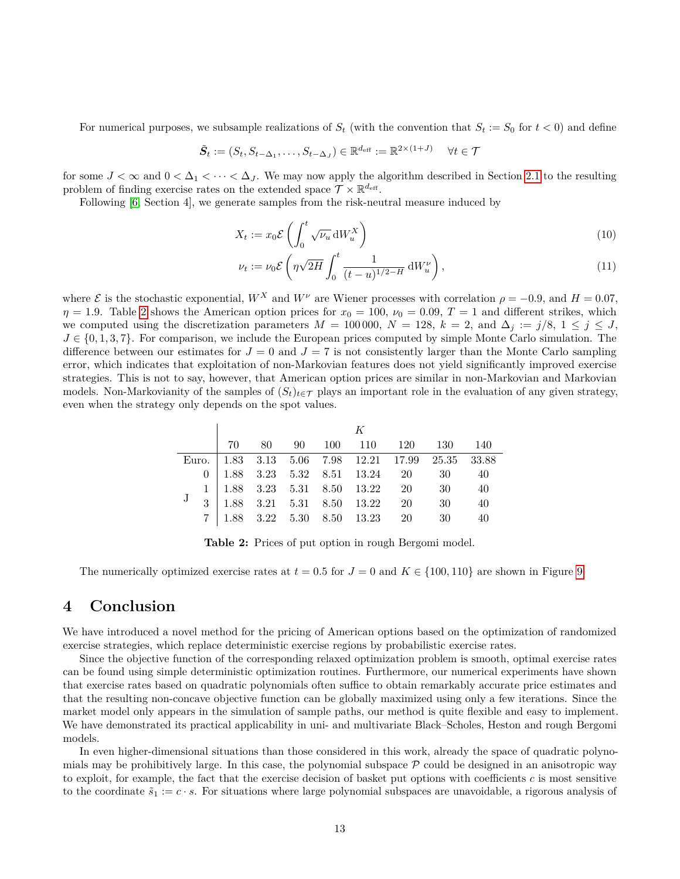For numerical purposes, we subsample realizations of  $S_t$  (with the convention that  $S_t := S_0$  for  $t < 0$ ) and define

$$
\tilde{\mathbf{S}}_t := (S_t, S_{t-\Delta_1}, \dots, S_{t-\Delta_J}) \in \mathbb{R}^{d_{\text{eff}}} := \mathbb{R}^{2 \times (1+J)} \quad \forall t \in \mathcal{T}
$$

for some  $J < \infty$  and  $0 < \Delta_1 < \cdots < \Delta_J$ . We may now apply the algorithm described in Section [2.1](#page-3-0) to the resulting problem of finding exercise rates on the extended space  $\mathcal{T} \times \mathbb{R}^{d_{\text{eff}}}$ .

Following [\[6,](#page-13-5) Section 4], we generate samples from the risk-neutral measure induced by

$$
X_t := x_0 \mathcal{E}\left(\int_0^t \sqrt{\nu_u} \, \mathrm{d}W_u^X\right) \tag{10}
$$

$$
\nu_t := \nu_0 \mathcal{E}\left(\eta \sqrt{2H} \int_0^t \frac{1}{(t-u)^{1/2-H}} \, \mathrm{d}W_u^{\nu}\right),\tag{11}
$$

where  $\mathcal{E}$  is the stochastic exponential,  $W^X$  and  $W^{\nu}$  are Wiener processes with correlation  $\rho = -0.9$ , and  $H = 0.07$ ,  $\eta = 1.9$ . Table [2](#page-12-0) shows the American option prices for  $x_0 = 100$ ,  $\nu_0 = 0.09$ ,  $T = 1$  and different strikes, which we computed using the discretization parameters  $M = 100000$ ,  $N = 128$ ,  $k = 2$ , and  $\Delta_j := j/8$ ,  $1 \leq j \leq J$ , *J* ∈ {0, 1, 3, 7}. For comparison, we include the European prices computed by simple Monte Carlo simulation. The difference between our estimates for  $J = 0$  and  $J = 7$  is not consistently larger than the Monte Carlo sampling error, which indicates that exploitation of non-Markovian features does not yield significantly improved exercise strategies. This is not to say, however, that American option prices are similar in non-Markovian and Markovian models. Non-Markovianity of the samples of  $(S_t)_{t\in\mathcal{T}}$  plays an important role in the evaluation of any given strategy, even when the strategy only depends on the spot values.

<span id="page-12-0"></span>

|  | K |  |  |  |  |  |                                                                                                                                                                                                           |  |
|--|---|--|--|--|--|--|-----------------------------------------------------------------------------------------------------------------------------------------------------------------------------------------------------------|--|
|  |   |  |  |  |  |  | $70 \qquad 80 \qquad 90 \qquad 100 \qquad 110 \qquad 120 \qquad 130 \qquad 140$                                                                                                                           |  |
|  |   |  |  |  |  |  | Euro.   1.83 3.13 5.06 7.98 12.21 17.99 25.35 33.88                                                                                                                                                       |  |
|  |   |  |  |  |  |  | $0   1.88 3.23 5.32 8.51 13.24 20 30 40$                                                                                                                                                                  |  |
|  |   |  |  |  |  |  | $\begin{tabular}{c cccccc} $J$ & $1$ & $1.88$ & $3.23$ & $5.31$ & $8.50$ & $13.22$ & $20$ & $30$ & $40$ \\ $J$ & $3$ & $1.88$ & $3.21$ & $5.31$ & $8.50$ & $13.22$ & $20$ & $30$ & $40$ \\ \end{tabular}$ |  |
|  |   |  |  |  |  |  |                                                                                                                                                                                                           |  |
|  |   |  |  |  |  |  | $7 \begin{array}{ l} 1.88 & 3.22 & 5.30 & 8.50 & 13.23 & 20 & 30 & 40 \\ \end{array}$                                                                                                                     |  |

**Table 2:** Prices of put option in rough Bergomi model.

The numerically optimized exercise rates at  $t = 0.5$  for  $J = 0$  and  $K \in \{100, 110\}$  are shown in Figure [9.](#page-13-7)

# **4 Conclusion**

We have introduced a novel method for the pricing of American options based on the optimization of randomized exercise strategies, which replace deterministic exercise regions by probabilistic exercise rates.

Since the objective function of the corresponding relaxed optimization problem is smooth, optimal exercise rates can be found using simple deterministic optimization routines. Furthermore, our numerical experiments have shown that exercise rates based on quadratic polynomials often suffice to obtain remarkably accurate price estimates and that the resulting non-concave objective function can be globally maximized using only a few iterations. Since the market model only appears in the simulation of sample paths, our method is quite flexible and easy to implement. We have demonstrated its practical applicability in uni- and multivariate Black–Scholes, Heston and rough Bergomi models.

In even higher-dimensional situations than those considered in this work, already the space of quadratic polynomials may be prohibitively large. In this case, the polynomial subspace  $P$  could be designed in an anisotropic way to exploit, for example, the fact that the exercise decision of basket put options with coefficients *c* is most sensitive to the coordinate  $\tilde{s}_1 := c \cdot s$ . For situations where large polynomial subspaces are unavoidable, a rigorous analysis of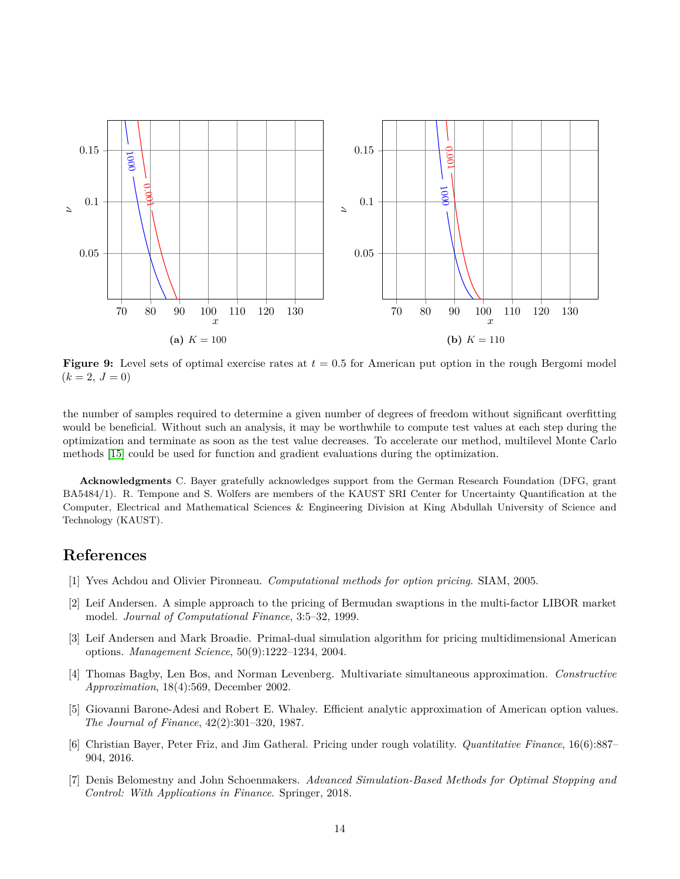<span id="page-13-7"></span>

**Figure 9:** Level sets of optimal exercise rates at *t* = 0*.*5 for American put option in the rough Bergomi model  $(k = 2, J = 0)$ 

the number of samples required to determine a given number of degrees of freedom without significant overfitting would be beneficial. Without such an analysis, it may be worthwhile to compute test values at each step during the optimization and terminate as soon as the test value decreases. To accelerate our method, multilevel Monte Carlo methods [\[15\]](#page-14-17) could be used for function and gradient evaluations during the optimization.

**Acknowledgments** C. Bayer gratefully acknowledges support from the German Research Foundation (DFG, grant BA5484/1). R. Tempone and S. Wolfers are members of the KAUST SRI Center for Uncertainty Quantification at the Computer, Electrical and Mathematical Sciences & Engineering Division at King Abdullah University of Science and Technology (KAUST).

# **References**

- <span id="page-13-0"></span>[1] Yves Achdou and Olivier Pironneau. *Computational methods for option pricing*. SIAM, 2005.
- <span id="page-13-4"></span>[2] Leif Andersen. A simple approach to the pricing of Bermudan swaptions in the multi-factor LIBOR market model. *Journal of Computational Finance*, 3:5–32, 1999.
- <span id="page-13-1"></span>[3] Leif Andersen and Mark Broadie. Primal-dual simulation algorithm for pricing multidimensional American options. *Management Science*, 50(9):1222–1234, 2004.
- <span id="page-13-6"></span>[4] Thomas Bagby, Len Bos, and Norman Levenberg. Multivariate simultaneous approximation. *Constructive Approximation*, 18(4):569, December 2002.
- <span id="page-13-3"></span>[5] Giovanni Barone-Adesi and Robert E. Whaley. Efficient analytic approximation of American option values. *The Journal of Finance*, 42(2):301–320, 1987.
- <span id="page-13-5"></span>[6] Christian Bayer, Peter Friz, and Jim Gatheral. Pricing under rough volatility. *Quantitative Finance*, 16(6):887– 904, 2016.
- <span id="page-13-2"></span>[7] Denis Belomestny and John Schoenmakers. *Advanced Simulation-Based Methods for Optimal Stopping and Control: With Applications in Finance*. Springer, 2018.